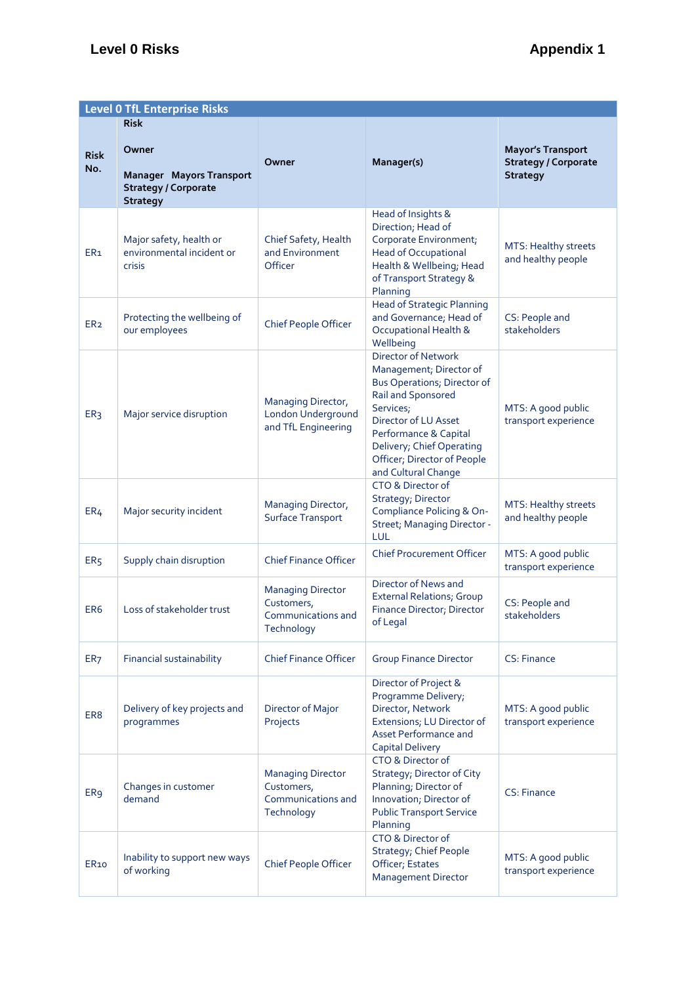|                    | <b>Level 0 TfL Enterprise Risks</b>                                                        |                                                                            |                                                                                                                                                                                                                                                             |                                                                            |  |  |  |  |
|--------------------|--------------------------------------------------------------------------------------------|----------------------------------------------------------------------------|-------------------------------------------------------------------------------------------------------------------------------------------------------------------------------------------------------------------------------------------------------------|----------------------------------------------------------------------------|--|--|--|--|
|                    | <b>Risk</b>                                                                                |                                                                            |                                                                                                                                                                                                                                                             |                                                                            |  |  |  |  |
| <b>Risk</b><br>No. | Owner<br><b>Manager Mayors Transport</b><br><b>Strategy / Corporate</b><br><b>Strategy</b> | Owner                                                                      | Manager(s)                                                                                                                                                                                                                                                  | <b>Mayor's Transport</b><br><b>Strategy / Corporate</b><br><b>Strategy</b> |  |  |  |  |
| ER <sub>1</sub>    | Major safety, health or<br>environmental incident or<br>crisis                             | Chief Safety, Health<br>and Environment<br>Officer                         | Head of Insights &<br>Direction; Head of<br>Corporate Environment;<br><b>Head of Occupational</b><br>Health & Wellbeing; Head<br>of Transport Strategy &<br>Planning                                                                                        | MTS: Healthy streets<br>and healthy people                                 |  |  |  |  |
| ER <sub>2</sub>    | Protecting the wellbeing of<br>our employees                                               | <b>Chief People Officer</b>                                                | <b>Head of Strategic Planning</b><br>and Governance; Head of<br>Occupational Health &<br>Wellbeing                                                                                                                                                          | CS: People and<br>stakeholders                                             |  |  |  |  |
| ER <sub>3</sub>    | Major service disruption                                                                   | Managing Director,<br>London Underground<br>and TfL Engineering            | Director of Network<br>Management; Director of<br><b>Bus Operations; Director of</b><br>Rail and Sponsored<br>Services;<br>Director of LU Asset<br>Performance & Capital<br>Delivery; Chief Operating<br>Officer; Director of People<br>and Cultural Change | MTS: A good public<br>transport experience                                 |  |  |  |  |
| ER <sub>4</sub>    | Major security incident                                                                    | Managing Director,<br>Surface Transport                                    | CTO & Director of<br>Strategy; Director<br>Compliance Policing & On-<br>Street; Managing Director -<br>LUL                                                                                                                                                  | MTS: Healthy streets<br>and healthy people                                 |  |  |  |  |
| ER <sub>5</sub>    | Supply chain disruption                                                                    | <b>Chief Finance Officer</b>                                               | <b>Chief Procurement Officer</b>                                                                                                                                                                                                                            | MTS: A good public<br>transport experience                                 |  |  |  |  |
| ER <sub>6</sub>    | Loss of stakeholder trust                                                                  | <b>Managing Director</b><br>Customers,<br>Communications and<br>Technology | Director of News and<br><b>External Relations; Group</b><br>Finance Director; Director<br>of Legal                                                                                                                                                          | CS: People and<br>stakeholders                                             |  |  |  |  |
| ER <sub>7</sub>    | <b>Financial sustainability</b>                                                            | <b>Chief Finance Officer</b>                                               | <b>Group Finance Director</b>                                                                                                                                                                                                                               | CS: Finance                                                                |  |  |  |  |
| ER <sub>8</sub>    | Delivery of key projects and<br>programmes                                                 | Director of Major<br>Projects                                              | Director of Project &<br>Programme Delivery;<br>Director, Network<br>Extensions; LU Director of<br><b>Asset Performance and</b><br><b>Capital Delivery</b>                                                                                                  | MTS: A good public<br>transport experience                                 |  |  |  |  |
| ER <sub>9</sub>    | Changes in customer<br>demand                                                              | <b>Managing Director</b><br>Customers,<br>Communications and<br>Technology | CTO & Director of<br>Strategy; Director of City<br>Planning; Director of<br>Innovation; Director of<br><b>Public Transport Service</b><br>Planning                                                                                                          | CS: Finance                                                                |  |  |  |  |
| ER <sub>10</sub>   | Inability to support new ways<br>of working                                                | <b>Chief People Officer</b>                                                | CTO & Director of<br><b>Strategy; Chief People</b><br>Officer; Estates<br><b>Management Director</b>                                                                                                                                                        | MTS: A good public<br>transport experience                                 |  |  |  |  |